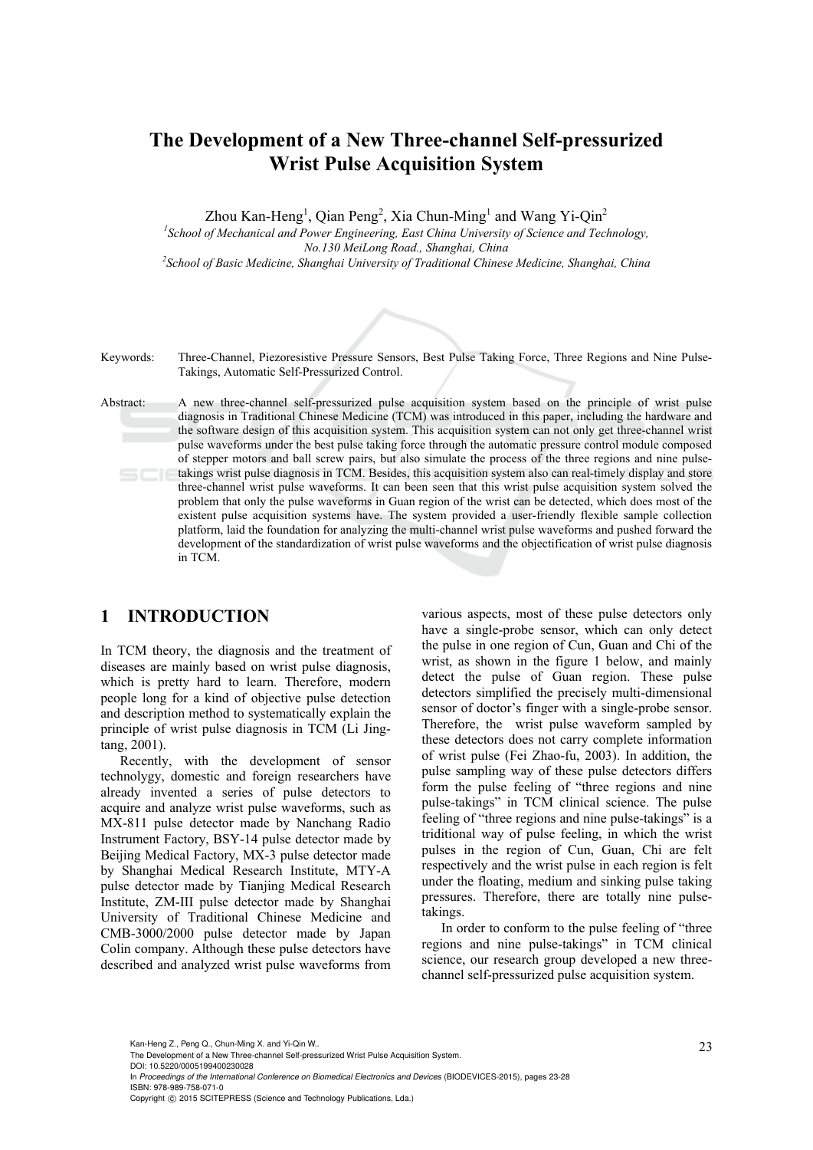# **The Development of a New Three-channel Self-pressurized Wrist Pulse Acquisition System**

Zhou Kan-Heng<sup>1</sup>, Qian Peng<sup>2</sup>, Xia Chun-Ming<sup>1</sup> and Wang Yi-Qin<sup>2</sup>

<sup>1</sup> School of Mechanical and Power Engineering, East China University of Science and Technology, *No.130 MeiLong Road., Shanghai, China 2 School of Basic Medicine, Shanghai University of Traditional Chinese Medicine, Shanghai, China* 



Keywords: Three-Channel, Piezoresistive Pressure Sensors, Best Pulse Taking Force, Three Regions and Nine Pulse-Takings, Automatic Self-Pressurized Control.

Abstract: A new three-channel self-pressurized pulse acquisition system based on the principle of wrist pulse diagnosis in Traditional Chinese Medicine (TCM) was introduced in this paper, including the hardware and the software design of this acquisition system. This acquisition system can not only get three-channel wrist pulse waveforms under the best pulse taking force through the automatic pressure control module composed of stepper motors and ball screw pairs, but also simulate the process of the three regions and nine pulsetakings wrist pulse diagnosis in TCM. Besides, this acquisition system also can real-timely display and store three-channel wrist pulse waveforms. It can been seen that this wrist pulse acquisition system solved the problem that only the pulse waveforms in Guan region of the wrist can be detected, which does most of the existent pulse acquisition systems have. The system provided a user-friendly flexible sample collection platform, laid the foundation for analyzing the multi-channel wrist pulse waveforms and pushed forward the development of the standardization of wrist pulse waveforms and the objectification of wrist pulse diagnosis in TCM.

### **1 INTRODUCTION**

In TCM theory, the diagnosis and the treatment of diseases are mainly based on wrist pulse diagnosis, which is pretty hard to learn. Therefore, modern people long for a kind of objective pulse detection and description method to systematically explain the principle of wrist pulse diagnosis in TCM (Li Jingtang, 2001).

Recently, with the development of sensor technolygy, domestic and foreign researchers have already invented a series of pulse detectors to acquire and analyze wrist pulse waveforms, such as MX-811 pulse detector made by Nanchang Radio Instrument Factory, BSY-14 pulse detector made by Beijing Medical Factory, MX-3 pulse detector made by Shanghai Medical Research Institute, MTY-A pulse detector made by Tianjing Medical Research Institute, ZM-III pulse detector made by Shanghai University of Traditional Chinese Medicine and CMB-3000/2000 pulse detector made by Japan Colin company. Although these pulse detectors have described and analyzed wrist pulse waveforms from

various aspects, most of these pulse detectors only have a single-probe sensor, which can only detect the pulse in one region of Cun, Guan and Chi of the wrist, as shown in the figure 1 below, and mainly detect the pulse of Guan region. These pulse detectors simplified the precisely multi-dimensional sensor of doctor's finger with a single-probe sensor. Therefore, the wrist pulse waveform sampled by these detectors does not carry complete information of wrist pulse (Fei Zhao-fu, 2003). In addition, the pulse sampling way of these pulse detectors differs form the pulse feeling of "three regions and nine pulse-takings" in TCM clinical science. The pulse feeling of "three regions and nine pulse-takings" is a triditional way of pulse feeling, in which the wrist pulses in the region of Cun, Guan, Chi are felt respectively and the wrist pulse in each region is felt under the floating, medium and sinking pulse taking pressures. Therefore, there are totally nine pulsetakings.

In order to conform to the pulse feeling of "three regions and nine pulse-takings" in TCM clinical science, our research group developed a new threechannel self-pressurized pulse acquisition system.

DOI: 10.5220/0005199400230028

In *Proceedings of the International Conference on Biomedical Electronics and Devices* (BIODEVICES-2015), pages 23-28 ISBN: 978-989-758-071-0

Kan-Heng Z., Peng Q., Chun-Ming X. and Yi-Qin W..<br>The Development of a New Three-channel Self-pressurized Wrist Pulse Acquisition System.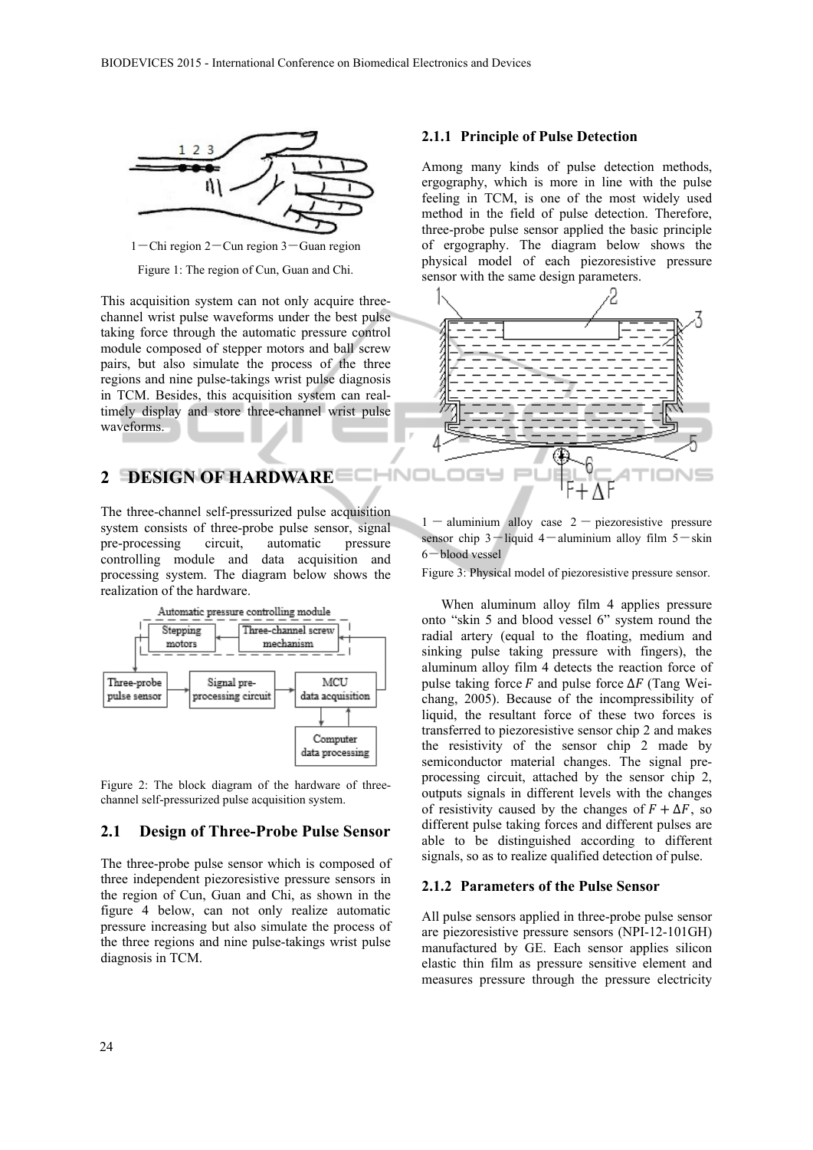HN<sub>I</sub>



 $1$  – Chi region  $2$  – Cun region  $3$  – Guan region

Figure 1: The region of Cun, Guan and Chi.

This acquisition system can not only acquire threechannel wrist pulse waveforms under the best pulse taking force through the automatic pressure control module composed of stepper motors and ball screw pairs, but also simulate the process of the three regions and nine pulse-takings wrist pulse diagnosis in TCM. Besides, this acquisition system can realtimely display and store three-channel wrist pulse waveforms.

# **2 DESIGN OF HARDWARE**

The three-channel self-pressurized pulse acquisition system consists of three-probe pulse sensor, signal pre-processing circuit, automatic pressure controlling module and data acquisition and processing system. The diagram below shows the realization of the hardware.



Figure 2: The block diagram of the hardware of threechannel self-pressurized pulse acquisition system.

### **2.1 Design of Three-Probe Pulse Sensor**

The three-probe pulse sensor which is composed of three independent piezoresistive pressure sensors in the region of Cun, Guan and Chi, as shown in the figure 4 below, can not only realize automatic pressure increasing but also simulate the process of the three regions and nine pulse-takings wrist pulse diagnosis in TCM.

#### **2.1.1 Principle of Pulse Detection**

Among many kinds of pulse detection methods, ergography, which is more in line with the pulse feeling in TCM, is one of the most widely used method in the field of pulse detection. Therefore, three-probe pulse sensor applied the basic principle of ergography. The diagram below shows the physical model of each piezoresistive pressure sensor with the same design parameters.



 $1 -$  aluminium alloy case  $2 -$  piezoresistive pressure sensor chip  $3$ -liquid 4-aluminium alloy film  $5$ -skin 6-blood vessel

Figure 3: Physical model of piezoresistive pressure sensor.

When aluminum alloy film 4 applies pressure onto "skin 5 and blood vessel 6" system round the radial artery (equal to the floating, medium and sinking pulse taking pressure with fingers), the aluminum alloy film 4 detects the reaction force of pulse taking force  $F$  and pulse force  $\Delta F$  (Tang Weichang, 2005). Because of the incompressibility of liquid, the resultant force of these two forces is transferred to piezoresistive sensor chip 2 and makes the resistivity of the sensor chip 2 made by semiconductor material changes. The signal preprocessing circuit, attached by the sensor chip 2, outputs signals in different levels with the changes of resistivity caused by the changes of  $F + \Delta F$ , so different pulse taking forces and different pulses are able to be distinguished according to different signals, so as to realize qualified detection of pulse.

#### **2.1.2 Parameters of the Pulse Sensor**

All pulse sensors applied in three-probe pulse sensor are piezoresistive pressure sensors (NPI-12-101GH) manufactured by GE. Each sensor applies silicon elastic thin film as pressure sensitive element and measures pressure through the pressure electricity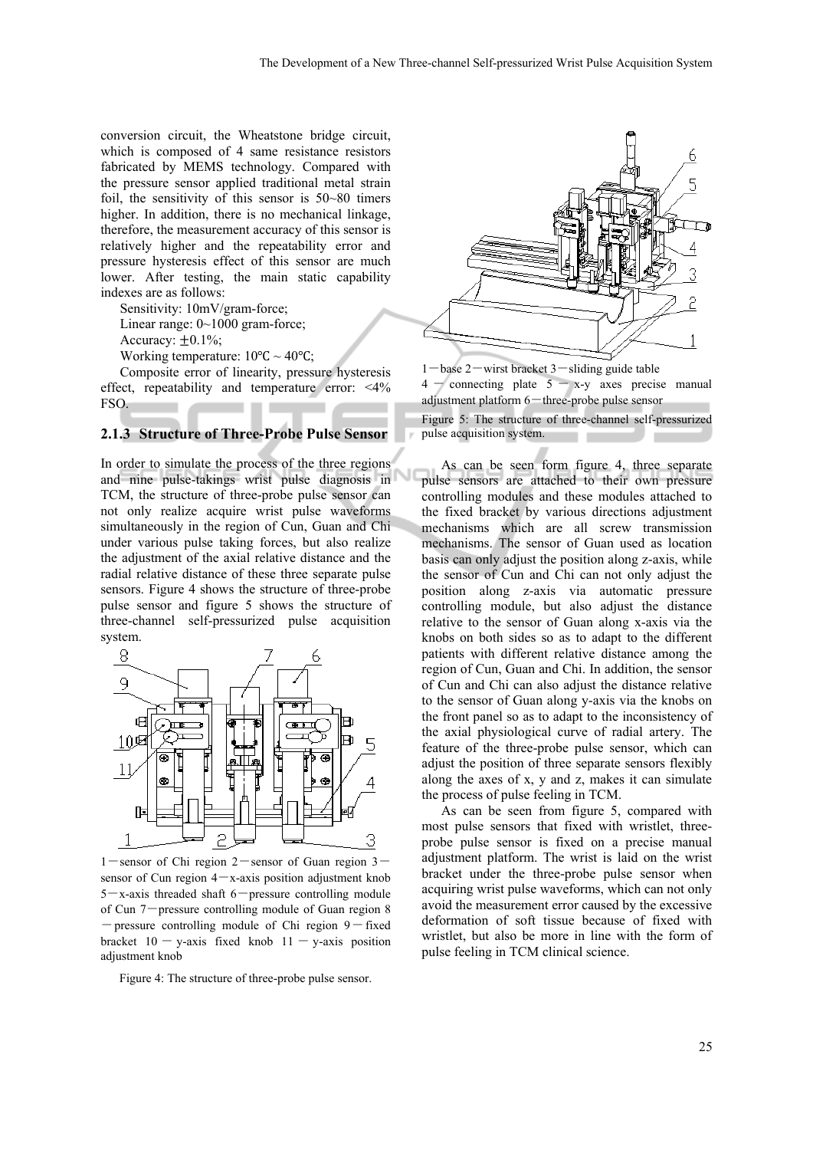conversion circuit, the Wheatstone bridge circuit, which is composed of 4 same resistance resistors fabricated by MEMS technology. Compared with the pressure sensor applied traditional metal strain foil, the sensitivity of this sensor is 50~80 timers higher. In addition, there is no mechanical linkage, therefore, the measurement accuracy of this sensor is relatively higher and the repeatability error and pressure hysteresis effect of this sensor are much lower. After testing, the main static capability indexes are as follows:

Sensitivity: 10mV/gram-force;

Linear range: 0~1000 gram-force;

Accuracy:  $\pm 0.1\%$ ;

Working temperature:  $10^{\circ}$ C ~  $40^{\circ}$ C:

Composite error of linearity, pressure hysteresis effect, repeatability and temperature error: <4% FSO.

#### **2.1.3 Structure of Three-Probe Pulse Sensor**

In order to simulate the process of the three regions and nine pulse-takings wrist pulse diagnosis in TCM, the structure of three-probe pulse sensor can not only realize acquire wrist pulse waveforms simultaneously in the region of Cun, Guan and Chi under various pulse taking forces, but also realize the adjustment of the axial relative distance and the radial relative distance of these three separate pulse sensors. Figure 4 shows the structure of three-probe pulse sensor and figure 5 shows the structure of three-channel self-pressurized pulse acquisition system.



1-sensor of Chi region  $2$ -sensor of Guan region  $3$ sensor of Cun region  $4-x$ -axis position adjustment knob  $5-x$ -axis threaded shaft  $6$ -pressure controlling module of Cun 7-pressure controlling module of Guan region 8  $-$  pressure controlling module of Chi region  $9$  – fixed bracket  $10 - y$ -axis fixed knob  $11 - y$ -axis position adjustment knob

Figure 4: The structure of three-probe pulse sensor.





Figure 5: The structure of three-channel self-pressurized pulse acquisition system. an an

As can be seen form figure 4, three separate pulse sensors are attached to their own pressure controlling modules and these modules attached to the fixed bracket by various directions adjustment mechanisms which are all screw transmission mechanisms. The sensor of Guan used as location basis can only adjust the position along z-axis, while the sensor of Cun and Chi can not only adjust the position along z-axis via automatic pressure controlling module, but also adjust the distance relative to the sensor of Guan along x-axis via the knobs on both sides so as to adapt to the different patients with different relative distance among the region of Cun, Guan and Chi. In addition, the sensor of Cun and Chi can also adjust the distance relative to the sensor of Guan along y-axis via the knobs on the front panel so as to adapt to the inconsistency of the axial physiological curve of radial artery. The feature of the three-probe pulse sensor, which can adjust the position of three separate sensors flexibly along the axes of x, y and z, makes it can simulate the process of pulse feeling in TCM.

As can be seen from figure 5, compared with most pulse sensors that fixed with wristlet, threeprobe pulse sensor is fixed on a precise manual adjustment platform. The wrist is laid on the wrist bracket under the three-probe pulse sensor when acquiring wrist pulse waveforms, which can not only avoid the measurement error caused by the excessive deformation of soft tissue because of fixed with wristlet, but also be more in line with the form of pulse feeling in TCM clinical science.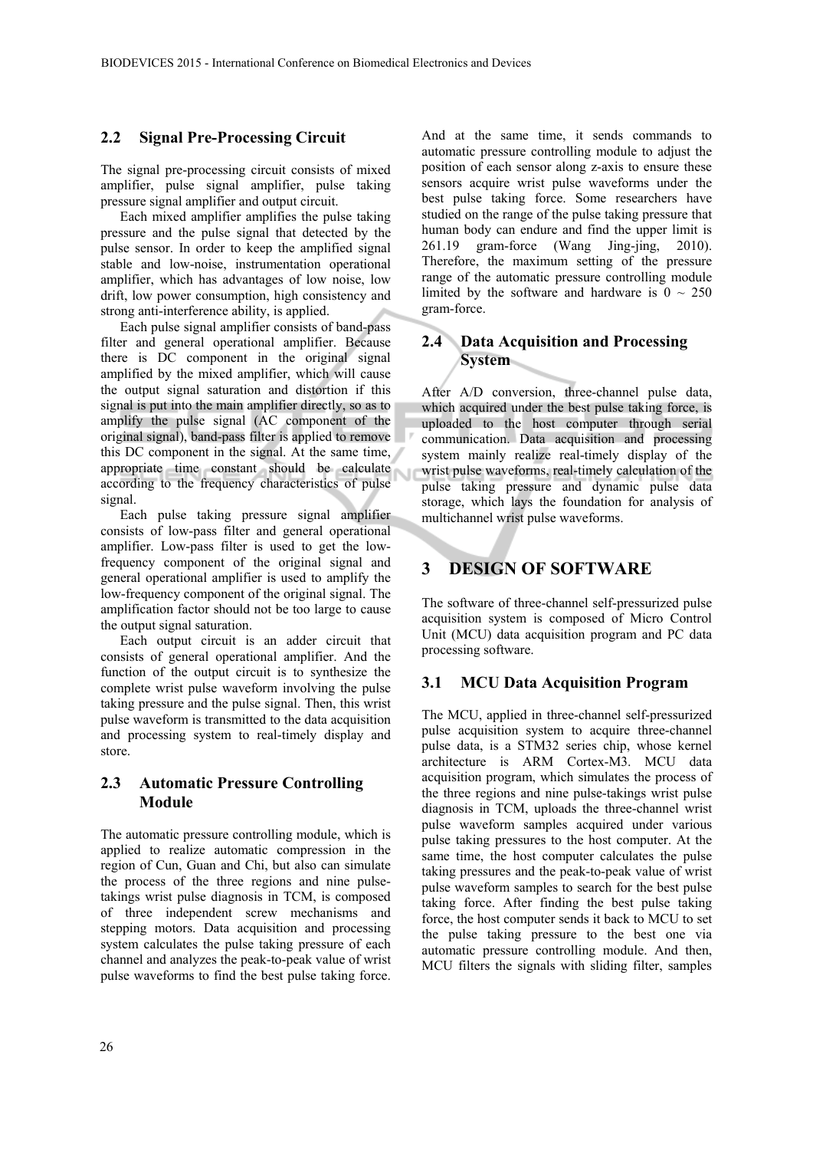#### **2.2 Signal Pre-Processing Circuit**

The signal pre-processing circuit consists of mixed amplifier, pulse signal amplifier, pulse taking pressure signal amplifier and output circuit.

Each mixed amplifier amplifies the pulse taking pressure and the pulse signal that detected by the pulse sensor. In order to keep the amplified signal stable and low-noise, instrumentation operational amplifier, which has advantages of low noise, low drift, low power consumption, high consistency and strong anti-interference ability, is applied.

Each pulse signal amplifier consists of band-pass filter and general operational amplifier. Because there is DC component in the original signal amplified by the mixed amplifier, which will cause the output signal saturation and distortion if this signal is put into the main amplifier directly, so as to amplify the pulse signal (AC component of the original signal), band-pass filter is applied to remove this DC component in the signal. At the same time, appropriate time constant should be calculate according to the frequency characteristics of pulse signal.

Each pulse taking pressure signal amplifier consists of low-pass filter and general operational amplifier. Low-pass filter is used to get the lowfrequency component of the original signal and general operational amplifier is used to amplify the low-frequency component of the original signal. The amplification factor should not be too large to cause the output signal saturation.

Each output circuit is an adder circuit that consists of general operational amplifier. And the function of the output circuit is to synthesize the complete wrist pulse waveform involving the pulse taking pressure and the pulse signal. Then, this wrist pulse waveform is transmitted to the data acquisition and processing system to real-timely display and store.

### **2.3 Automatic Pressure Controlling Module**

The automatic pressure controlling module, which is applied to realize automatic compression in the region of Cun, Guan and Chi, but also can simulate the process of the three regions and nine pulsetakings wrist pulse diagnosis in TCM, is composed of three independent screw mechanisms and stepping motors. Data acquisition and processing system calculates the pulse taking pressure of each channel and analyzes the peak-to-peak value of wrist pulse waveforms to find the best pulse taking force.

And at the same time, it sends commands to automatic pressure controlling module to adjust the position of each sensor along z-axis to ensure these sensors acquire wrist pulse waveforms under the best pulse taking force. Some researchers have studied on the range of the pulse taking pressure that human body can endure and find the upper limit is 261.19 gram-force (Wang Jing-jing, 2010). Therefore, the maximum setting of the pressure range of the automatic pressure controlling module limited by the software and hardware is  $0 \sim 250$ gram-force.

### **2.4 Data Acquisition and Processing System**

After A/D conversion, three-channel pulse data, which acquired under the best pulse taking force, is uploaded to the host computer through serial communication. Data acquisition and processing system mainly realize real-timely display of the wrist pulse waveforms, real-timely calculation of the pulse taking pressure and dynamic pulse data storage, which lays the foundation for analysis of multichannel wrist pulse waveforms.

## **3 DESIGN OF SOFTWARE**

Ù

The software of three-channel self-pressurized pulse acquisition system is composed of Micro Control Unit (MCU) data acquisition program and PC data processing software.

### **3.1 MCU Data Acquisition Program**

The MCU, applied in three-channel self-pressurized pulse acquisition system to acquire three-channel pulse data, is a STM32 series chip, whose kernel architecture is ARM Cortex-M3. MCU data acquisition program, which simulates the process of the three regions and nine pulse-takings wrist pulse diagnosis in TCM, uploads the three-channel wrist pulse waveform samples acquired under various pulse taking pressures to the host computer. At the same time, the host computer calculates the pulse taking pressures and the peak-to-peak value of wrist pulse waveform samples to search for the best pulse taking force. After finding the best pulse taking force, the host computer sends it back to MCU to set the pulse taking pressure to the best one via automatic pressure controlling module. And then, MCU filters the signals with sliding filter, samples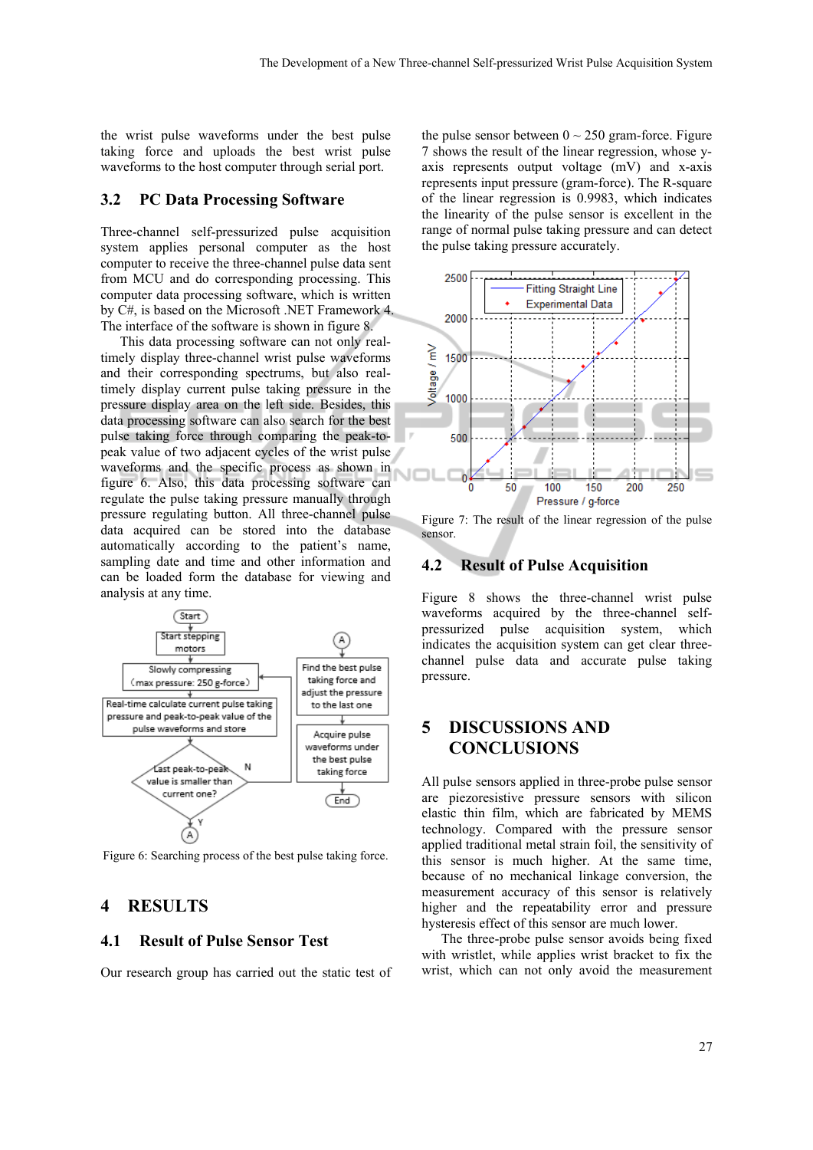the wrist pulse waveforms under the best pulse taking force and uploads the best wrist pulse waveforms to the host computer through serial port.

#### **3.2 PC Data Processing Software**

Three-channel self-pressurized pulse acquisition system applies personal computer as the host computer to receive the three-channel pulse data sent from MCU and do corresponding processing. This computer data processing software, which is written by C#, is based on the Microsoft .NET Framework 4. The interface of the software is shown in figure 8.

This data processing software can not only realtimely display three-channel wrist pulse waveforms and their corresponding spectrums, but also realtimely display current pulse taking pressure in the pressure display area on the left side. Besides, this data processing software can also search for the best pulse taking force through comparing the peak-topeak value of two adjacent cycles of the wrist pulse waveforms and the specific process as shown in figure 6. Also, this data processing software can regulate the pulse taking pressure manually through pressure regulating button. All three-channel pulse data acquired can be stored into the database automatically according to the patient's name, sampling date and time and other information and can be loaded form the database for viewing and analysis at any time.



Figure 6: Searching process of the best pulse taking force.

#### **4 RESULTS**

#### **4.1 Result of Pulse Sensor Test**

Our research group has carried out the static test of

the pulse sensor between  $0 \sim 250$  gram-force. Figure 7 shows the result of the linear regression, whose yaxis represents output voltage (mV) and x-axis represents input pressure (gram-force). The R-square of the linear regression is 0.9983, which indicates the linearity of the pulse sensor is excellent in the range of normal pulse taking pressure and can detect the pulse taking pressure accurately.



Figure 7: The result of the linear regression of the pulse sensor.

#### **4.2 Result of Pulse Acquisition**

Figure 8 shows the three-channel wrist pulse waveforms acquired by the three-channel selfpressurized pulse acquisition system, which indicates the acquisition system can get clear threechannel pulse data and accurate pulse taking pressure.

# **5 DISCUSSIONS AND CONCLUSIONS**

All pulse sensors applied in three-probe pulse sensor are piezoresistive pressure sensors with silicon elastic thin film, which are fabricated by MEMS technology. Compared with the pressure sensor applied traditional metal strain foil, the sensitivity of this sensor is much higher. At the same time, because of no mechanical linkage conversion, the measurement accuracy of this sensor is relatively higher and the repeatability error and pressure hysteresis effect of this sensor are much lower.

The three-probe pulse sensor avoids being fixed with wristlet, while applies wrist bracket to fix the wrist, which can not only avoid the measurement